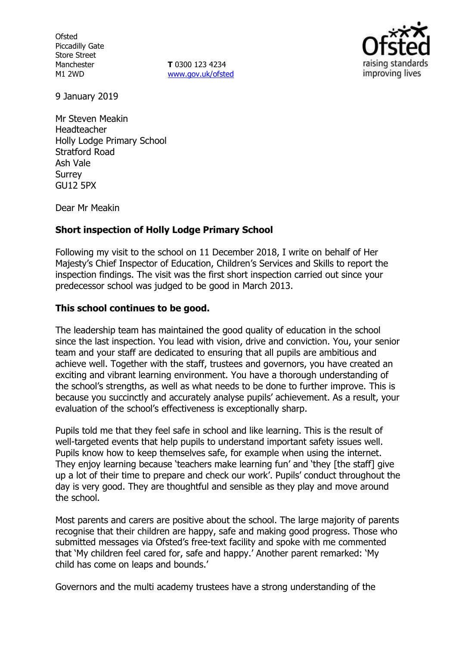**Ofsted** Piccadilly Gate Store Street Manchester M1 2WD

**T** 0300 123 4234 www.gov.uk/ofsted



9 January 2019

Mr Steven Meakin Headteacher Holly Lodge Primary School Stratford Road Ash Vale **Surrey** GU12 5PX

Dear Mr Meakin

# **Short inspection of Holly Lodge Primary School**

Following my visit to the school on 11 December 2018, I write on behalf of Her Majesty's Chief Inspector of Education, Children's Services and Skills to report the inspection findings. The visit was the first short inspection carried out since your predecessor school was judged to be good in March 2013.

# **This school continues to be good.**

The leadership team has maintained the good quality of education in the school since the last inspection. You lead with vision, drive and conviction. You, your senior team and your staff are dedicated to ensuring that all pupils are ambitious and achieve well. Together with the staff, trustees and governors, you have created an exciting and vibrant learning environment. You have a thorough understanding of the school's strengths, as well as what needs to be done to further improve. This is because you succinctly and accurately analyse pupils' achievement. As a result, your evaluation of the school's effectiveness is exceptionally sharp.

Pupils told me that they feel safe in school and like learning. This is the result of well-targeted events that help pupils to understand important safety issues well. Pupils know how to keep themselves safe, for example when using the internet. They enjoy learning because 'teachers make learning fun' and 'they [the staff] give up a lot of their time to prepare and check our work'. Pupils' conduct throughout the day is very good. They are thoughtful and sensible as they play and move around the school.

Most parents and carers are positive about the school. The large majority of parents recognise that their children are happy, safe and making good progress. Those who submitted messages via Ofsted's free-text facility and spoke with me commented that 'My children feel cared for, safe and happy.' Another parent remarked: 'My child has come on leaps and bounds.'

Governors and the multi academy trustees have a strong understanding of the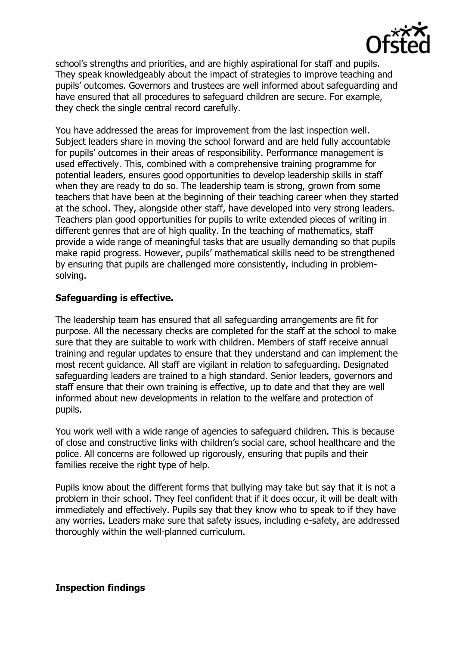

school's strengths and priorities, and are highly aspirational for staff and pupils. They speak knowledgeably about the impact of strategies to improve teaching and pupils' outcomes. Governors and trustees are well informed about safeguarding and have ensured that all procedures to safeguard children are secure. For example, they check the single central record carefully.

You have addressed the areas for improvement from the last inspection well. Subject leaders share in moving the school forward and are held fully accountable for pupils' outcomes in their areas of responsibility. Performance management is used effectively. This, combined with a comprehensive training programme for potential leaders, ensures good opportunities to develop leadership skills in staff when they are ready to do so. The leadership team is strong, grown from some teachers that have been at the beginning of their teaching career when they started at the school. They, alongside other staff, have developed into very strong leaders. Teachers plan good opportunities for pupils to write extended pieces of writing in different genres that are of high quality. In the teaching of mathematics, staff provide a wide range of meaningful tasks that are usually demanding so that pupils make rapid progress. However, pupils' mathematical skills need to be strengthened by ensuring that pupils are challenged more consistently, including in problemsolving.

# **Safeguarding is effective.**

The leadership team has ensured that all safeguarding arrangements are fit for purpose. All the necessary checks are completed for the staff at the school to make sure that they are suitable to work with children. Members of staff receive annual training and regular updates to ensure that they understand and can implement the most recent guidance. All staff are vigilant in relation to safeguarding. Designated safeguarding leaders are trained to a high standard. Senior leaders, governors and staff ensure that their own training is effective, up to date and that they are well informed about new developments in relation to the welfare and protection of pupils.

You work well with a wide range of agencies to safeguard children. This is because of close and constructive links with children's social care, school healthcare and the police. All concerns are followed up rigorously, ensuring that pupils and their families receive the right type of help.

Pupils know about the different forms that bullying may take but say that it is not a problem in their school. They feel confident that if it does occur, it will be dealt with immediately and effectively. Pupils say that they know who to speak to if they have any worries. Leaders make sure that safety issues, including e-safety, are addressed thoroughly within the well-planned curriculum.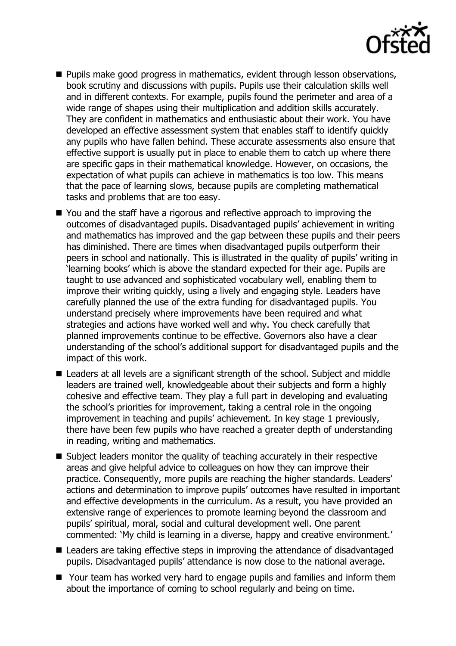

- **Pupils make good progress in mathematics, evident through lesson observations,** book scrutiny and discussions with pupils. Pupils use their calculation skills well and in different contexts. For example, pupils found the perimeter and area of a wide range of shapes using their multiplication and addition skills accurately. They are confident in mathematics and enthusiastic about their work. You have developed an effective assessment system that enables staff to identify quickly any pupils who have fallen behind. These accurate assessments also ensure that effective support is usually put in place to enable them to catch up where there are specific gaps in their mathematical knowledge. However, on occasions, the expectation of what pupils can achieve in mathematics is too low. This means that the pace of learning slows, because pupils are completing mathematical tasks and problems that are too easy.
- You and the staff have a rigorous and reflective approach to improving the outcomes of disadvantaged pupils. Disadvantaged pupils' achievement in writing and mathematics has improved and the gap between these pupils and their peers has diminished. There are times when disadvantaged pupils outperform their peers in school and nationally. This is illustrated in the quality of pupils' writing in 'learning books' which is above the standard expected for their age. Pupils are taught to use advanced and sophisticated vocabulary well, enabling them to improve their writing quickly, using a lively and engaging style. Leaders have carefully planned the use of the extra funding for disadvantaged pupils. You understand precisely where improvements have been required and what strategies and actions have worked well and why. You check carefully that planned improvements continue to be effective. Governors also have a clear understanding of the school's additional support for disadvantaged pupils and the impact of this work.
- Leaders at all levels are a significant strength of the school. Subject and middle leaders are trained well, knowledgeable about their subjects and form a highly cohesive and effective team. They play a full part in developing and evaluating the school's priorities for improvement, taking a central role in the ongoing improvement in teaching and pupils' achievement. In key stage 1 previously, there have been few pupils who have reached a greater depth of understanding in reading, writing and mathematics.
- Subject leaders monitor the quality of teaching accurately in their respective areas and give helpful advice to colleagues on how they can improve their practice. Consequently, more pupils are reaching the higher standards. Leaders' actions and determination to improve pupils' outcomes have resulted in important and effective developments in the curriculum. As a result, you have provided an extensive range of experiences to promote learning beyond the classroom and pupils' spiritual, moral, social and cultural development well. One parent commented: 'My child is learning in a diverse, happy and creative environment.'
- Leaders are taking effective steps in improving the attendance of disadvantaged pupils. Disadvantaged pupils' attendance is now close to the national average.
- Your team has worked very hard to engage pupils and families and inform them about the importance of coming to school regularly and being on time.